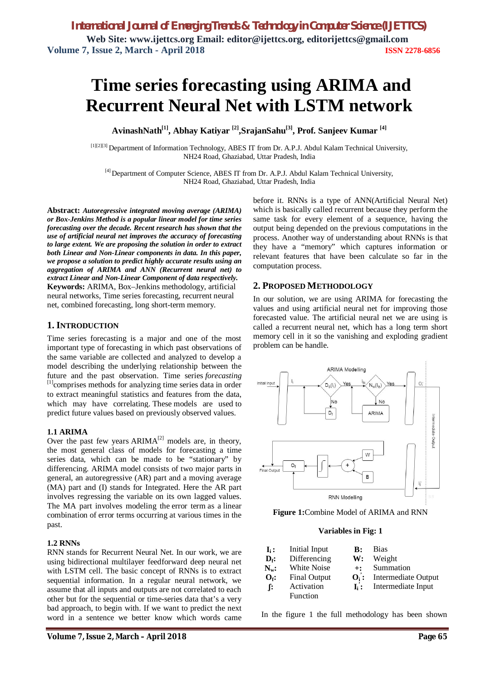# **Time series forecasting using ARIMA and Recurrent Neural Net with LSTM network**

**AvinashNath[1], Abhay Katiyar [2],SrajanSahu[3] , Prof. Sanjeev Kumar [4]**

[1][2][3] Department of Information Technology, ABES IT from Dr. A.P.J. Abdul Kalam Technical University, NH24 Road, Ghaziabad, Uttar Pradesh, India

[4] Department of Computer Science, ABES IT from Dr. A.P.J. Abdul Kalam Technical University, NH24 Road, Ghaziabad, Uttar Pradesh, India

**Abstract:** *Autoregressive integrated moving average (ARIMA) or Box-Jenkins Method is a popular linear model for time series forecasting over the decade. Recent research has shown that the use of artificial neural net improves the accuracy of forecasting to large extent. We are proposing the solution in order to extract both Linear and Non-Linear components in data. In this paper, we propose a solution to predict highly accurate results using an aggregation of ARIMA and ANN (Recurrent neural net) to extract Linear and Non-Linear Component of data respectively.* **Keywords:** ARIMA, Box–Jenkins methodology, artificial neural networks, Time series forecasting, recurrent neural net, combined forecasting, long short-term memory.

# **1. INTRODUCTION**

Time series forecasting is a major and one of the most important type of forecasting in which past observations of the same variable are collected and analyzed to develop a model describing the underlying relationship between the future and the past observation. Time series *forecasting*  [1]comprises methods for analyzing time series data in order to extract meaningful statistics and features from the data, which may have correlating. These models are used to predict future values based on previously observed values.

## **1.1 ARIMA**

Over the past few years  $ARIMA<sup>[2]</sup>$  models are, in theory, the most general class of models for forecasting a time series data, which can be made to be "stationary" by differencing. ARIMA model consists of two major parts in general, an autoregressive (AR) part and a moving average (MA) part and (I) stands for Integrated. Here the AR part involves regressing the variable on its own lagged values. The MA part involves modeling the error term as a linear combination of error terms occurring at various times in the past.

# **1.2 RNNs**

RNN stands for Recurrent Neural Net. In our work, we are using bidirectional multilayer feedforward deep neural net with LSTM cell. The basic concept of RNNs is to extract sequential information. In a regular neural network, we assume that all inputs and outputs are not correlated to each other but for the sequential or time-series data that's a very bad approach, to begin with. If we want to predict the next word in a sentence we better know which words came

before it. RNNs is a type of ANN(Artificial Neural Net) which is basically called recurrent because they perform the same task for every element of a sequence, having the output being depended on the previous computations in the process. Another way of understanding about RNNs is that they have a "memory" which captures information or relevant features that have been calculate so far in the computation process.

## **2. PROPOSED METHODOLOGY**

In our solution, we are using ARIMA for forecasting the values and using artificial neural net for improving those forecasted value. The artificial neural net we are using is called a recurrent neural net, which has a long term short memory cell in it so the vanishing and exploding gradient problem can be handle.



**Figure 1:**Combine Model of ARIMA and RNN

#### **Variables in Fig: 1**

| $\mathbf{I}_i$ :            | Initial Input       | $\bf{B}$ :     | <b>Bias</b>                |
|-----------------------------|---------------------|----------------|----------------------------|
| $\mathbf{D}_{\mathbf{f}}$ : | Differencing        | W:             | Weight                     |
| $N_{w}$ :                   | White Noise         | $+$ :          | Summation                  |
| $O_f$ :                     | <b>Final Output</b> | $O_i$ :        | <b>Intermediate Output</b> |
| f:                          | Activation          | $\mathbf{L}$ : | Intermediate Input         |
|                             | Function            |                |                            |

In the figure 1 the full methodology has been shown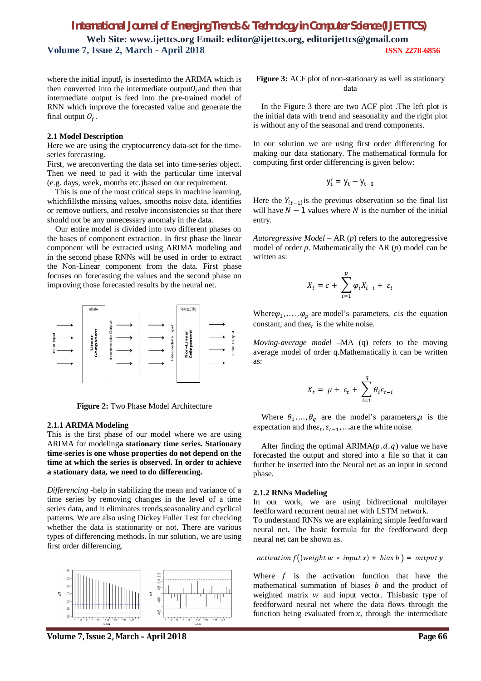where the initial input $I_i$  is insertedinto the ARIMA which is then converted into the intermediate output $O_i$  and then that intermediate output is feed into the pre-trained model of RNN which improve the forecasted value and generate the final output  $O_f$ .

#### **2.1 Model Description**

Here we are using the cryptocurrency data-set for the timeseries forecasting.

First, we areconverting the data set into time-series object. Then we need to pad it with the particular time interval (e.g. days, week, months etc.)based on our requirement.

This is one of the most critical steps in machine learning, whichfillsthe missing values, smooths noisy data, identifies or remove outliers, and resolve inconsistencies so that there should not be any unnecessary anomaly in the data.

Our entire model is divided into two different phases on the bases of component extraction. In first phase the linear component will be extracted using ARIMA modeling and in the second phase RNNs will be used in order to extract the Non-Linear component from the data. First phase focuses on forecasting the values and the second phase on improving those forecasted results by the neural net.



**Figure 2:** Two Phase Model Architecture

#### **2.1.1 ARIMA Modeling**

This is the first phase of our model where we are using ARIMA for modeling**a stationary time series. Stationary time-series is one whose properties do not depend on the time at which the series is observed. In order to achieve a stationary data, we need to do differencing.**

*Differencing -*help in stabilizing the mean and variance of a time series by removing changes in the level of a time series data, and it eliminates trends,seasonality and cyclical patterns. We are also using Dickey Fuller Test for checking whether the data is stationarity or not. There are various types of differencing methods. In our solution, we are using first order differencing.



**Volume 7, Issue 2, March – April 2018 Page 66**

**Figure 3:** ACF plot of non-stationary as well as stationary data

In the Figure 3 there are two ACF plot .The left plot is the initial data with trend and seasonality and the right plot is without any of the seasonal and trend components.

In our solution we are using first order differencing for making our data stationary. The mathematical formula for computing first order differencing is given below:

$$
y_t' = y_t - y_{t-1}
$$

Here the  $Y_{(t-1)}$  is the previous observation so the final list will have  $N - 1$  values where N is the number of the initial entry.

*Autoregressive Model –* AR (*p*) refers to the autoregressive model of order *p*. Mathematically the AR (*p*) model can be written as:

$$
X_t = c + \sum_{i=1}^p \varphi_i X_{t-i} + \varepsilon_t
$$

Where  $\varphi_1, \ldots, \varphi_p$  are model's parameters, *c* is the equation constant, and the $\varepsilon_t$  is the white noise.

*Moving-average model –*MA (q) refers to the moving average model of order q.Mathematically it can be written as:

$$
X_t = \mu + \varepsilon_t + \sum_{i=1}^q \theta_i \varepsilon_{t-i}
$$

Where  $\theta_1, \dots, \theta_q$  are the model's parameters,  $\mu$  is the expectation and the $\varepsilon_t$ ,  $\varepsilon_{t-1}$ , ... are the white noise.

After finding the optimal ARIMA( $p$ ,  $d$ ,  $q$ ) value we have forecasted the output and stored into a file so that it can further be inserted into the Neural net as an input in second phase.

#### **2.1.2 RNNs Modeling**

In our work, we are using bidirectional multilayer feedforward recurrent neural net with LSTM network*.*

To understand RNNs we are explaining simple feedforward neural net. The basic formula for the feedforward deep neural net can be shown as.

$$
activation f((weight w * input x) + bias b) = output y
$$

Where  $f$  is the activation function that have the mathematical summation of biases  *and the product of* weighted matrix  $w$  and input vector. Thisbasic type of feedforward neural net where the data flows through the function being evaluated from  $x$ , through the intermediate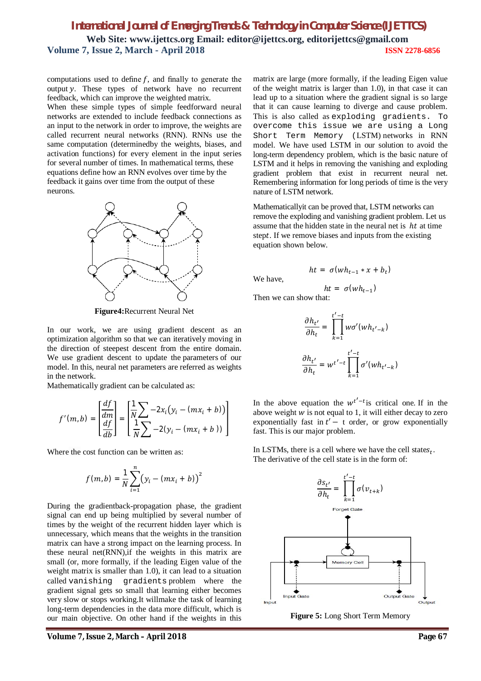computations used to define  $f$ , and finally to generate the output y. These types of network have no recurrent feedback, which can improve the weighted matrix.

When these simple types of simple feedforward neural networks are extended to include feedback connections as an input to the network in order to improve, the weights are called recurrent neural networks (RNN). RNNs use the same computation (determinedby the weights, biases, and activation functions) for every element in the input series for several number of times. In mathematical terms, these equations define how an RNN evolves over time by the feedback it gains over time from the output of these neurons.



**Figure4:**Recurrent Neural Net

In our work, we are using gradient descent as an optimization algorithm so that we can iteratively moving in the direction of steepest descent from the entire domain. We use gradient descent to update the parameters of our model. In this, neural net parameters are referred as weights in the network.

Mathematically gradient can be calculated as:

$$
f'(m, b) = \left[\frac{\frac{df}{dm}}{\frac{df}{db}}\right] = \left[\frac{1}{N}\sum_{i=1}^{N} -2x_i(y_i - (mx_i + b))\right]
$$

Where the cost function can be written as:

$$
f(m,b) = \frac{1}{N} \sum_{i=1}^{n} (y_i - (mx_i + b))^2
$$

During the gradientback-propagation phase, the gradient signal can end up being multiplied by several number of times by the weight of the recurrent hidden layer which is unnecessary, which means that the weights in the transition matrix can have a strong impact on the learning process. In these neural net(RNN),if the weights in this matrix are small (or, more formally, if the leading Eigen value of the weight matrix is smaller than 1.0), it can lead to a situation called vanishing gradients problem where the gradient signal gets so small that learning either becomes very slow or stops working.It willmake the task of learning long-term dependencies in the data more difficult, which is our main objective. On other hand if the weights in this

**Volume 7, Issue 2, March – April 2018 Page 67**

matrix are large (more formally, if the leading Eigen value of the weight matrix is larger than 1.0), in that case it can lead up to a situation where the gradient signal is so large that it can cause learning to diverge and cause problem. This is also called as exploding gradients. To overcome this issue we are using a Long Short Term Memory (LSTM) networks in RNN model. We have used LSTM in our solution to avoid the long-term dependency problem, which is the basic nature of LSTM and it helps in removing the vanishing and exploding gradient problem that exist in recurrent neural net. Remembering information for long periods of time is the very nature of LSTM network.

Mathematicallyit can be proved that, LSTM networks can remove the exploding and vanishing gradient problem. Let us assume that the hidden state in the neural net is  $ht$  at time stept. If we remove biases and inputs from the existing equation shown below.

We have,

$$
ht = \sigma(wh_{t-1} * x + b_t)
$$

$$
ht = \sigma(wh_{t-1})
$$

Then we can show that:

$$
\frac{\partial h_{t'}}{\partial h_t} = \prod_{k=1}^{t'-t} w\sigma'(wh_{t'-k})
$$

$$
\frac{\partial h_{t'}}{\partial h_t} = w^{t'-t} \prod_{k=1}^{t'-t} \sigma'(wh_{t'-k})
$$

In the above equation the  $w^{t'-t}$  is critical one. If in the above weight  $\hat{w}$  is not equal to 1, it will either decay to zero exponentially fast in  $t'$  – t order, or grow exponentially fast. This is our major problem.

In LSTMs, there is a cell where we have the cell states $_t$ . The derivative of the cell state is in the form of:



**Figure 5:** Long Short Term Memory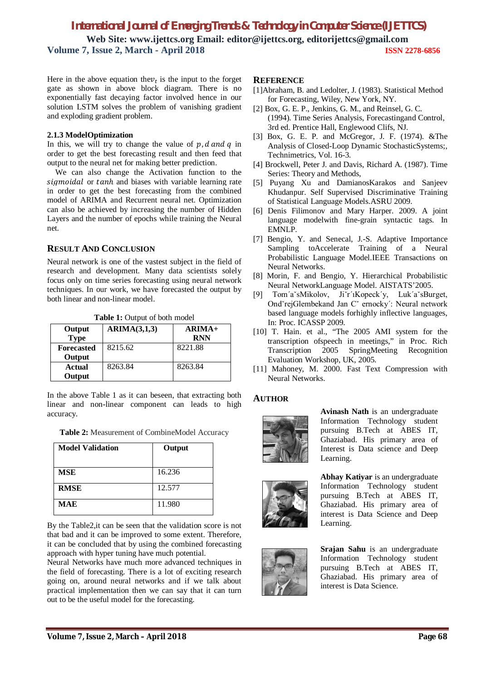Here in the above equation the  $v_t$  is the input to the forget gate as shown in above block diagram. There is no exponentially fast decaying factor involved hence in our solution LSTM solves the problem of vanishing gradient and exploding gradient problem.

## **2.1.3 ModelOptimization**

In this, we will try to change the value of  $p_i$  d and q in order to get the best forecasting result and then feed that output to the neural net for making better prediction.

We can also change the Activation function to the sigmoidal or tanh and biases with variable learning rate in order to get the best forecasting from the combined model of ARIMA and Recurrent neural net. Optimization can also be achieved by increasing the number of Hidden Layers and the number of epochs while training the Neural net.

# **RESULT AND CONCLUSION**

Neural network is one of the vastest subject in the field of research and development. Many data scientists solely focus only on time series forecasting using neural network techniques. In our work, we have forecasted the output by both linear and non-linear model.

| Output<br><b>Type</b>       | ARIMA(3,1,3) | $ARIMA+$<br><b>RNN</b> |
|-----------------------------|--------------|------------------------|
| <b>Forecasted</b><br>Output | 8215.62      | 8221.88                |
| Actual<br>Output            | 8263.84      | 8263.84                |

**Table 1:** Output of both model

In the above Table 1 as it can beseen, that extracting both linear and non-linear component can leads to high accuracy.

|  | Table 2: Measurement of CombineModel Accuracy |
|--|-----------------------------------------------|
|  |                                               |

| <b>Model Validation</b> | Output |
|-------------------------|--------|
| <b>MSE</b>              | 16.236 |
| <b>RMSE</b>             | 12.577 |
| <b>MAE</b>              | 11.980 |

By the Table2,it can be seen that the validation score is not that bad and it can be improved to some extent. Therefore, it can be concluded that by using the combined forecasting approach with hyper tuning have much potential.

Neural Networks have much more advanced techniques in the field of forecasting. There is a lot of exciting research going on, around neural networks and if we talk about practical implementation then we can say that it can turn out to be the useful model for the forecasting.

## **REFERENCE**

- [1]Abraham, B. and Ledolter, J. (1983). Statistical Method for Forecasting, Wiley, New York, NY.
- [2] Box, G. E. P., Jenkins, G. M., and Reinsel, G. C. (1994). Time Series Analysis, Forecastingand Control, 3rd ed. Prentice Hall, Englewood Clifs, NJ.
- [3] Box, G. E. P. and McGregor, J. F. (1974). &The Analysis of Closed-Loop Dynamic StochasticSystems;, Technimetrics, Vol. 16-3.
- [4] Brockwell, Peter J. and Davis, Richard A. (1987). Time Series: Theory and Methods,
- [5] Puyang Xu and DamianosKarakos and Sanjeev Khudanpur. Self Supervised Discriminative Training of Statistical Language Models.ASRU 2009.
- [6] Denis Filimonov and Mary Harper. 2009. A joint language modelwith fine-grain syntactic tags. In EMNLP.
- [7] Bengio, Y. and Senecal, J.-S. Adaptive Importance Sampling toAccelerate Training of a Neural Probabilistic Language Model.IEEE Transactions on Neural Networks.
- [8] Morin, F. and Bengio, Y. Hierarchical Probabilistic Neural NetworkLanguage Model. AISTATS'2005.
- [9] Tom´aˇsMikolov, Jiˇr´ıKopeck´y, Luk´aˇsBurget, OndˇrejGlembekand Jan Cˇ ernocky´: Neural network based language models forhighly inflective languages, In: Proc. ICASSP 2009.
- [10] T. Hain. et al., "The 2005 AMI system for the transcription ofspeech in meetings," in Proc. Rich Transcription 2005 SpringMeeting Recognition Evaluation Workshop, UK, 2005.
- [11] Mahoney, M. 2000. Fast Text Compression with Neural Networks.

## **AUTHOR**



**Avinash Nath** is an undergraduate Information Technology student pursuing B.Tech at ABES IT, Ghaziabad. His primary area of Interest is Data science and Deep Learning.





**Abhay Katiyar** is an undergraduate Information Technology student pursuing B.Tech at ABES IT, Ghaziabad. His primary area of interest is Data Science and Deep Learning.

**Srajan Sahu** is an undergraduate Information Technology student pursuing B.Tech at ABES IT, Ghaziabad. His primary area of interest is Data Science.